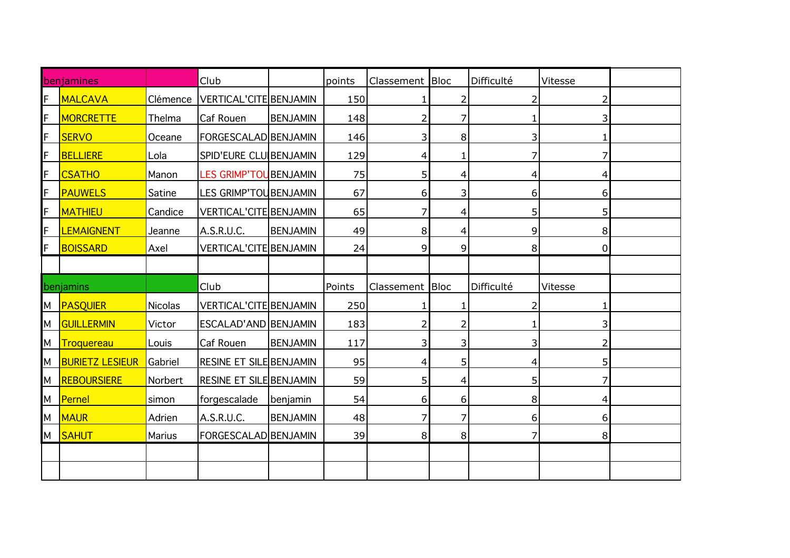| benjamines |                            |                | Club                           |                 | points | Classement | <b>Bloc</b>    | Difficulté     | Vitesse        |  |
|------------|----------------------------|----------------|--------------------------------|-----------------|--------|------------|----------------|----------------|----------------|--|
|            | MALCAVA                    | Clémence       | VERTICAL'CITE BENJAMIN         |                 | 150    |            | 2              | 2              |                |  |
|            | <b>MORCRETTE</b>           | Thelma         | Caf Rouen                      | <b>BENJAMIN</b> | 148    | 2          | 7              |                | 3              |  |
|            | <b>SERVO</b>               | Oceane         | FORGESCALAD BENJAMIN           |                 | 146    | 3          | 8              | 3              | 1.             |  |
|            | <b>BELLIERE</b>            | Lola           | SPID'EURE CLU BENJAMIN         |                 | 129    | 4          | 1              | 7              | 7              |  |
|            | <b>CSATHO</b>              | Manon          | LES GRIMP'TOUBENJAMIN          |                 | 75     | 5          | 4              | 4              | 4              |  |
|            | <b>PAUWELS</b>             | Satine         | LES GRIMP'TOUBENJAMIN          |                 | 67     | 6          | 3              | 6              | 6              |  |
|            | <b>MATHIEU</b>             | Candice        | VERTICAL'CITE BENJAMIN         |                 | 65     | 7          | 4              | 5              | 5              |  |
|            | <b>LEMAIGNENT</b>          | Jeanne         | A.S.R.U.C.                     | <b>BENJAMIN</b> | 49     | 8          | 4              | 9              | 8 <sup>1</sup> |  |
|            | <b>BOISSARD</b>            | Axel           | <b>VERTICAL'CITE BENJAMIN</b>  |                 | 24     | 9          | 9              | 8              | $\Omega$       |  |
|            |                            |                |                                |                 |        |            |                |                |                |  |
|            |                            |                |                                |                 |        |            |                |                |                |  |
|            | benjamins                  |                | Club                           |                 | Points | Classement | <b>Bloc</b>    | Difficulté     | Vitesse        |  |
|            | M PASQUIER                 | <b>Nicolas</b> | <b>VERTICAL'CITE BENJAMIN</b>  |                 | 250    |            | 1              | $\overline{2}$ |                |  |
|            | M GUILLERMIN               | Victor         | ESCALAD'AND BENJAMIN           |                 | 183    | 2          | $\overline{2}$ | 1              | 3              |  |
| М          | Troquereau                 | Louis          | Caf Rouen                      | <b>BENJAMIN</b> | 117    | 3          | 3              | 3              | 2              |  |
| М          | <b>BURIETZ LESIEUR</b>     | Gabriel        | <b>RESINE ET SILE BENJAMIN</b> |                 | 95     | 4          | 5 <sup>1</sup> | 4              | 5              |  |
|            | M <mark>Reboursiere</mark> | Norbert        | <b>RESINE ET SILE BENJAMIN</b> |                 | 59     | 5          | 4              | 5              |                |  |
|            | M Pernel                   | simon          | forgescalade                   | benjamin        | 54     | 6          | 6              | 8              | 4              |  |
|            | M <mark>MAUR</mark>        | Adrien         | A.S.R.U.C.                     | <b>BENJAMIN</b> | 48     | 7          | 7              | 6              | 6              |  |
|            | M SAHUT                    | Marius         | FORGESCALAD BENJAMIN           |                 | 39     | 8          | 8              | 7              | 8 <sup>1</sup> |  |
|            |                            |                |                                |                 |        |            |                |                |                |  |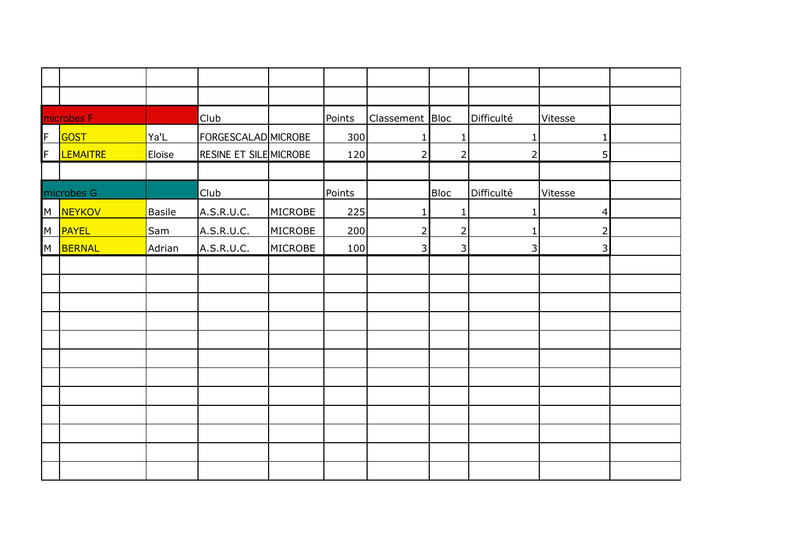|   | microbes F      |        | Club                          |                | Points | Classement Bloc |                | Difficulté     | Vitesse        |  |
|---|-----------------|--------|-------------------------------|----------------|--------|-----------------|----------------|----------------|----------------|--|
| F | <b>GOST</b>     | Ya'L   | FORGESCALAD MICROBE           |                | 300    | $\mathbf{1}$    | $\mathbf{1}$   | $\mathbf{1}$   | $\mathbf{1}$   |  |
| F | <b>LEMAITRE</b> | Eloïse | <b>RESINE ET SILE MICROBE</b> |                | 120    | $\overline{2}$  | $\overline{2}$ | $\overline{2}$ | 5              |  |
|   |                 |        |                               |                |        |                 |                |                |                |  |
|   | microbes G      |        | Club                          |                | Points |                 | <b>Bloc</b>    | Difficulté     | Vitesse        |  |
|   | M NEYKOV        | Basile | A.S.R.U.C.                    | <b>MICROBE</b> | 225    | $\mathbf{1}$    | $\mathbf{1}$   | $\mathbf{1}$   | 4              |  |
|   | M <b>PAYEL</b>  | Sam    | A.S.R.U.C.                    | MICROBE        | 200    | $\overline{2}$  | $\overline{2}$ | 1              | $\overline{2}$ |  |
|   | M BERNAL        | Adrian | A.S.R.U.C.                    | MICROBE        | 100    | 3               | $\overline{3}$ | 3              | 3              |  |
|   |                 |        |                               |                |        |                 |                |                |                |  |
|   |                 |        |                               |                |        |                 |                |                |                |  |
|   |                 |        |                               |                |        |                 |                |                |                |  |
|   |                 |        |                               |                |        |                 |                |                |                |  |
|   |                 |        |                               |                |        |                 |                |                |                |  |
|   |                 |        |                               |                |        |                 |                |                |                |  |
|   |                 |        |                               |                |        |                 |                |                |                |  |
|   |                 |        |                               |                |        |                 |                |                |                |  |
|   |                 |        |                               |                |        |                 |                |                |                |  |
|   |                 |        |                               |                |        |                 |                |                |                |  |
|   |                 |        |                               |                |        |                 |                |                |                |  |
|   |                 |        |                               |                |        |                 |                |                |                |  |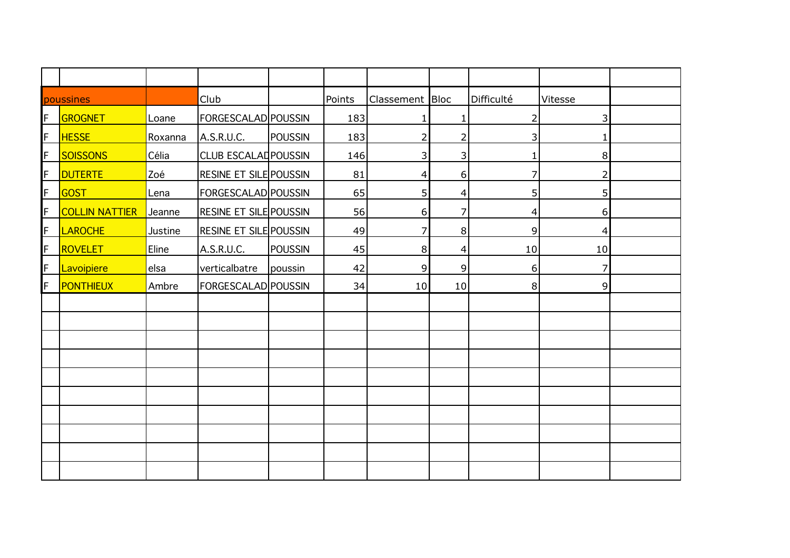| poussines |                       |         | <b>Club</b>                   |                | Points | Classement Bloc |                         | Difficulté     | Vitesse        |  |
|-----------|-----------------------|---------|-------------------------------|----------------|--------|-----------------|-------------------------|----------------|----------------|--|
| F         | GROGNET               | Loane   | FORGESCALAD POUSSIN           |                | 183    | 1               | 1                       | $\overline{2}$ | 3              |  |
| F         | <b>HESSE</b>          | Roxanna | A.S.R.U.C.                    | <b>POUSSIN</b> | 183    | $\overline{2}$  | $\overline{2}$          | 3              | $\mathbf{1}$   |  |
| F         | <b>SOISSONS</b>       | Célia   | <b>CLUB ESCALADPOUSSIN</b>    |                | 146    | 3               | $\overline{\mathbf{3}}$ | 1              | 8              |  |
| F         | <b>DUTERTE</b>        | Zoé     | <b>RESINE ET SILE POUSSIN</b> |                | 81     | 4               | $6 \overline{6}$        | 7              | 2              |  |
| F         | GOST                  | Lena    | FORGESCALAD POUSSIN           |                | 65     | 5               | $\overline{4}$          | 5              | 5 <sup>1</sup> |  |
| F         | <b>COLLIN NATTIER</b> | Jeanne  | <b>RESINE ET SILE POUSSIN</b> |                | 56     | 6               | 7                       | 4              | 6              |  |
| F         | LAROCHE               | Justine | <b>RESINE ET SILE POUSSIN</b> |                | 49     | 7               | 8 <sup>°</sup>          | 9              | $\overline{4}$ |  |
| F         | ROVELET               | Eline   | A.S.R.U.C.                    | <b>POUSSIN</b> | 45     | 8               | $\vert 4 \vert$         | 10             | 10             |  |
| F         | Lavoipiere            | elsa    | verticalbatre                 | poussin        | 42     | 9               | 9                       | 6              | 7              |  |
| F         | <b>PONTHIEUX</b>      | Ambre   | FORGESCALAD POUSSIN           |                | 34     | 10              | 10                      | 8              | $\overline{9}$ |  |
|           |                       |         |                               |                |        |                 |                         |                |                |  |
|           |                       |         |                               |                |        |                 |                         |                |                |  |
|           |                       |         |                               |                |        |                 |                         |                |                |  |
|           |                       |         |                               |                |        |                 |                         |                |                |  |
|           |                       |         |                               |                |        |                 |                         |                |                |  |
|           |                       |         |                               |                |        |                 |                         |                |                |  |
|           |                       |         |                               |                |        |                 |                         |                |                |  |
|           |                       |         |                               |                |        |                 |                         |                |                |  |
|           |                       |         |                               |                |        |                 |                         |                |                |  |
|           |                       |         |                               |                |        |                 |                         |                |                |  |